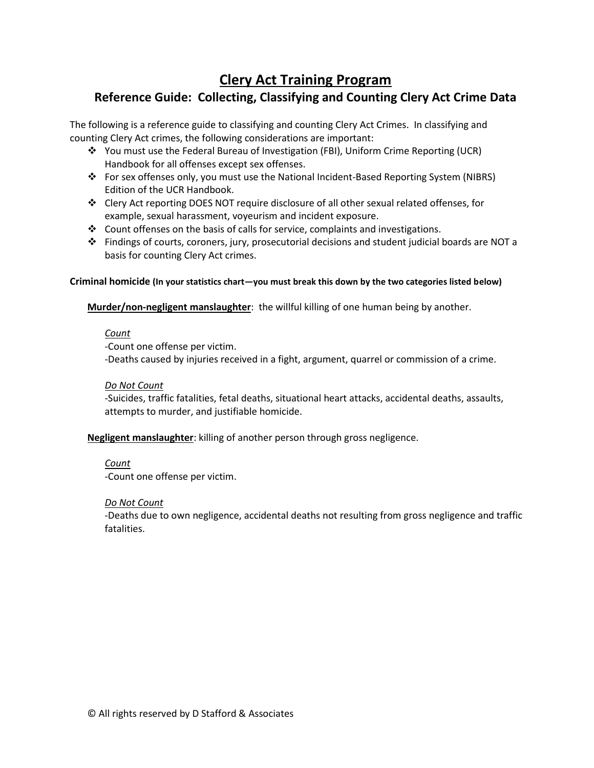# **Clery Act Training Program**

## **Reference Guide: Collecting, Classifying and Counting Clery Act Crime Data**

The following is a reference guide to classifying and counting Clery Act Crimes. In classifying and counting Clery Act crimes, the following considerations are important:

- You must use the Federal Bureau of Investigation (FBI), Uniform Crime Reporting (UCR) Handbook for all offenses except sex offenses.
- For sex offenses only, you must use the National Incident-Based Reporting System (NIBRS) Edition of the UCR Handbook.
- Clery Act reporting DOES NOT require disclosure of all other sexual related offenses, for example, sexual harassment, voyeurism and incident exposure.
- Count offenses on the basis of calls for service, complaints and investigations.
- $\div$  Findings of courts, coroners, jury, prosecutorial decisions and student judicial boards are NOT a basis for counting Clery Act crimes.

#### **Criminal homicide (In your statistics chart—you must break this down by the two categories listed below)**

**Murder/non-negligent manslaughter**: the willful killing of one human being by another.

## *Count*

-Count one offense per victim.

-Deaths caused by injuries received in a fight, argument, quarrel or commission of a crime.

## *Do Not Count*

-Suicides, traffic fatalities, fetal deaths, situational heart attacks, accidental deaths, assaults, attempts to murder, and justifiable homicide.

## **Negligent manslaughter**: killing of another person through gross negligence.

## *Count*

-Count one offense per victim.

## *Do Not Count*

-Deaths due to own negligence, accidental deaths not resulting from gross negligence and traffic fatalities.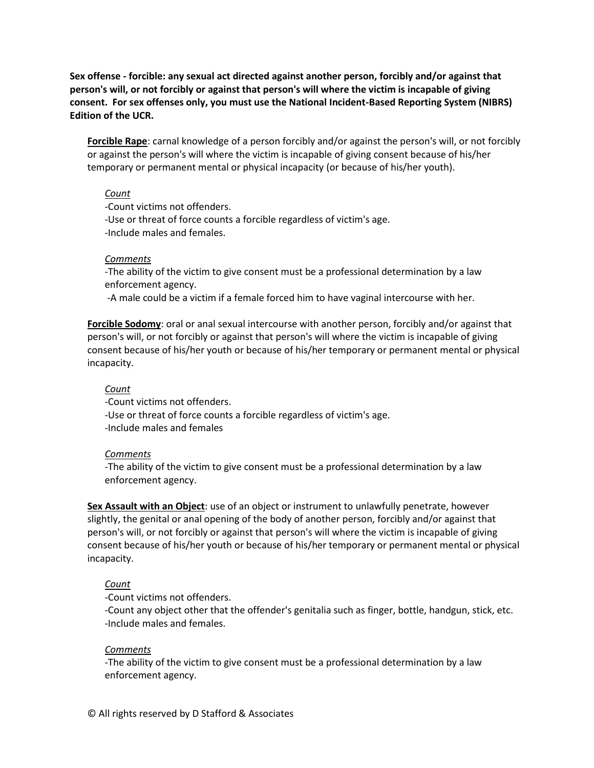**Sex offense - forcible: any sexual act directed against another person, forcibly and/or against that person's will, or not forcibly or against that person's will where the victim is incapable of giving consent. For sex offenses only, you must use the National Incident-Based Reporting System (NIBRS) Edition of the UCR.**

**Forcible Rape**: carnal knowledge of a person forcibly and/or against the person's will, or not forcibly or against the person's will where the victim is incapable of giving consent because of his/her temporary or permanent mental or physical incapacity (or because of his/her youth).

#### *Count*

-Count victims not offenders.

-Use or threat of force counts a forcible regardless of victim's age. -Include males and females.

#### *Comments*

-The ability of the victim to give consent must be a professional determination by a law enforcement agency.

-A male could be a victim if a female forced him to have vaginal intercourse with her.

**Forcible Sodomy**: oral or anal sexual intercourse with another person, forcibly and/or against that person's will, or not forcibly or against that person's will where the victim is incapable of giving consent because of his/her youth or because of his/her temporary or permanent mental or physical incapacity.

#### *Count*

-Count victims not offenders.

-Use or threat of force counts a forcible regardless of victim's age.

-Include males and females

#### *Comments*

-The ability of the victim to give consent must be a professional determination by a law enforcement agency.

**Sex Assault with an Object**: use of an object or instrument to unlawfully penetrate, however slightly, the genital or anal opening of the body of another person, forcibly and/or against that person's will, or not forcibly or against that person's will where the victim is incapable of giving consent because of his/her youth or because of his/her temporary or permanent mental or physical incapacity.

## *Count*

-Count victims not offenders.

-Count any object other that the offender's genitalia such as finger, bottle, handgun, stick, etc. -Include males and females.

#### *Comments*

-The ability of the victim to give consent must be a professional determination by a law enforcement agency.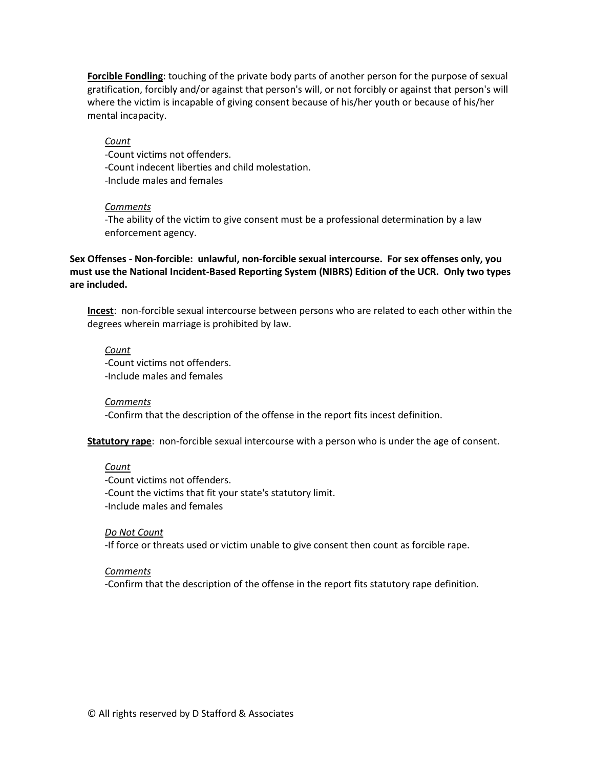**Forcible Fondling**: touching of the private body parts of another person for the purpose of sexual gratification, forcibly and/or against that person's will, or not forcibly or against that person's will where the victim is incapable of giving consent because of his/her youth or because of his/her mental incapacity.

*Count*

-Count victims not offenders. -Count indecent liberties and child molestation. -Include males and females

#### *Comments*

-The ability of the victim to give consent must be a professional determination by a law enforcement agency.

**Sex Offenses - Non-forcible: unlawful, non-forcible sexual intercourse. For sex offenses only, you must use the National Incident-Based Reporting System (NIBRS) Edition of the UCR. Only two types are included.**

**Incest**: non-forcible sexual intercourse between persons who are related to each other within the degrees wherein marriage is prohibited by law.

*Count*

-Count victims not offenders. -Include males and females

*Comments* -Confirm that the description of the offense in the report fits incest definition.

**Statutory rape**: non-forcible sexual intercourse with a person who is under the age of consent.

#### *Count*

-Count victims not offenders. -Count the victims that fit your state's statutory limit. -Include males and females

*Do Not Count*

-If force or threats used or victim unable to give consent then count as forcible rape.

#### *Comments*

-Confirm that the description of the offense in the report fits statutory rape definition.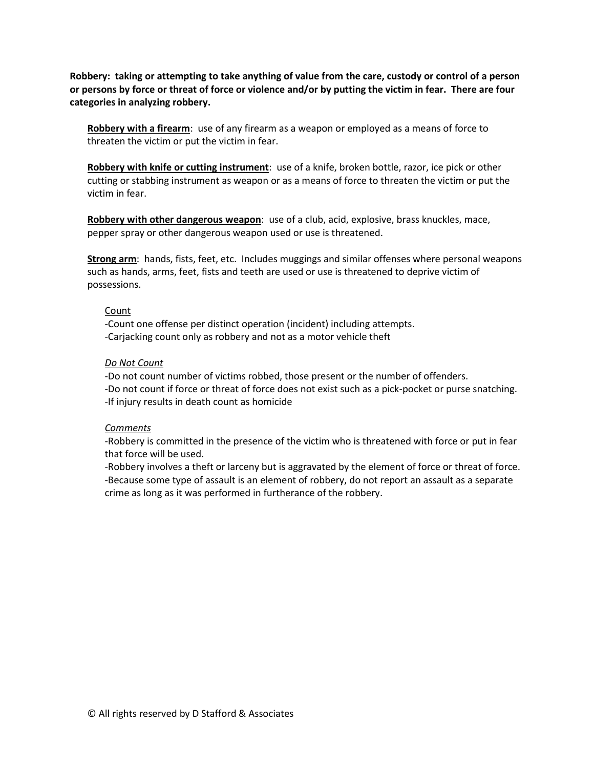**Robbery: taking or attempting to take anything of value from the care, custody or control of a person or persons by force or threat of force or violence and/or by putting the victim in fear. There are four categories in analyzing robbery.**

**Robbery with a firearm**: use of any firearm as a weapon or employed as a means of force to threaten the victim or put the victim in fear.

**Robbery with knife or cutting instrument**: use of a knife, broken bottle, razor, ice pick or other cutting or stabbing instrument as weapon or as a means of force to threaten the victim or put the victim in fear.

**Robbery with other dangerous weapon**: use of a club, acid, explosive, brass knuckles, mace, pepper spray or other dangerous weapon used or use is threatened.

**Strong arm**: hands, fists, feet, etc. Includes muggings and similar offenses where personal weapons such as hands, arms, feet, fists and teeth are used or use is threatened to deprive victim of possessions.

#### Count

-Count one offense per distinct operation (incident) including attempts. -Carjacking count only as robbery and not as a motor vehicle theft

#### *Do Not Count*

-Do not count number of victims robbed, those present or the number of offenders. -Do not count if force or threat of force does not exist such as a pick-pocket or purse snatching. -If injury results in death count as homicide

#### *Comments*

-Robbery is committed in the presence of the victim who is threatened with force or put in fear that force will be used.

-Robbery involves a theft or larceny but is aggravated by the element of force or threat of force. -Because some type of assault is an element of robbery, do not report an assault as a separate crime as long as it was performed in furtherance of the robbery.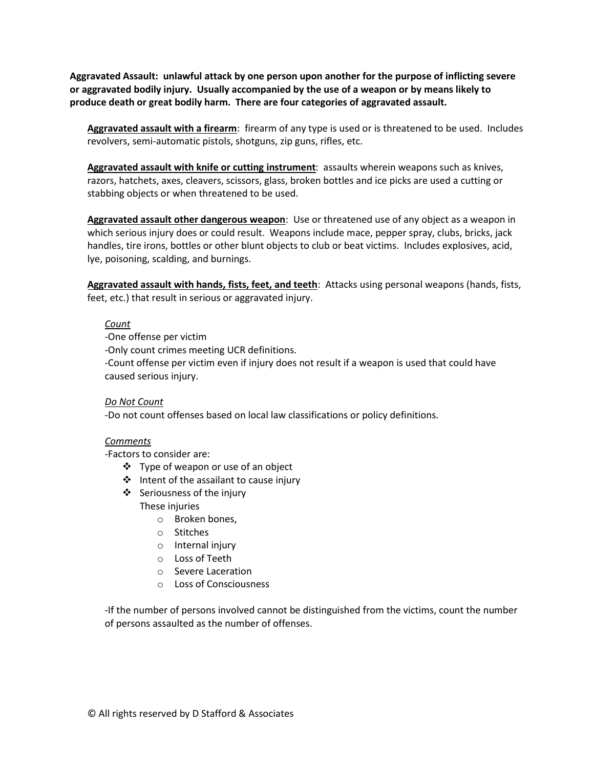**Aggravated Assault: unlawful attack by one person upon another for the purpose of inflicting severe or aggravated bodily injury. Usually accompanied by the use of a weapon or by means likely to produce death or great bodily harm. There are four categories of aggravated assault.**

**Aggravated assault with a firearm**: firearm of any type is used or is threatened to be used. Includes revolvers, semi-automatic pistols, shotguns, zip guns, rifles, etc.

**Aggravated assault with knife or cutting instrument**: assaults wherein weapons such as knives, razors, hatchets, axes, cleavers, scissors, glass, broken bottles and ice picks are used a cutting or stabbing objects or when threatened to be used.

**Aggravated assault other dangerous weapon**: Use or threatened use of any object as a weapon in which serious injury does or could result. Weapons include mace, pepper spray, clubs, bricks, jack handles, tire irons, bottles or other blunt objects to club or beat victims. Includes explosives, acid, lye, poisoning, scalding, and burnings.

**Aggravated assault with hands, fists, feet, and teeth**: Attacks using personal weapons (hands, fists, feet, etc.) that result in serious or aggravated injury.

#### *Count*

-One offense per victim

-Only count crimes meeting UCR definitions.

-Count offense per victim even if injury does not result if a weapon is used that could have caused serious injury.

*Do Not Count*

-Do not count offenses based on local law classifications or policy definitions.

#### *Comments*

-Factors to consider are:

- $\div$  Type of weapon or use of an object
- ❖ Intent of the assailant to cause injury
- $\cdot$  Seriousness of the injury These injuries
	- o Broken bones,
	- o Stitches
	- o Internal injury
	- o Loss of Teeth
	- o Severe Laceration
	- o Loss of Consciousness

-If the number of persons involved cannot be distinguished from the victims, count the number of persons assaulted as the number of offenses.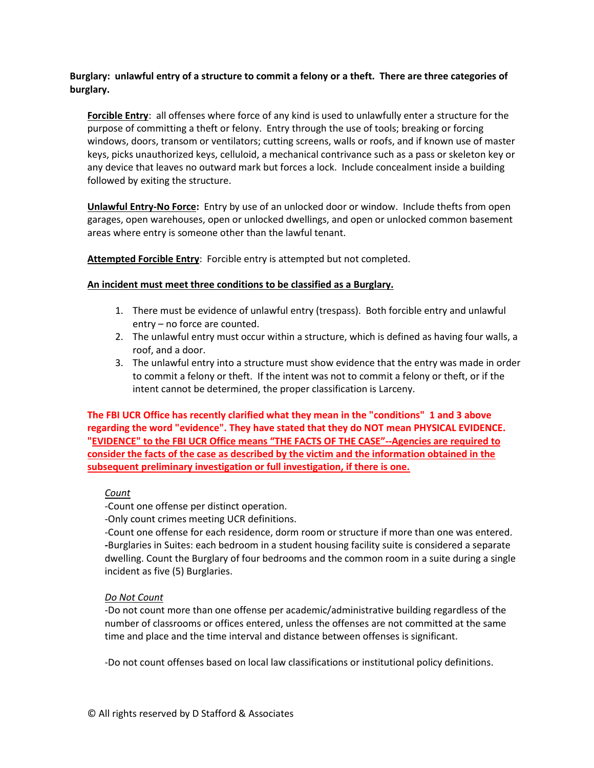**Burglary: unlawful entry of a structure to commit a felony or a theft. There are three categories of burglary.**

**Forcible Entry**: all offenses where force of any kind is used to unlawfully enter a structure for the purpose of committing a theft or felony. Entry through the use of tools; breaking or forcing windows, doors, transom or ventilators; cutting screens, walls or roofs, and if known use of master keys, picks unauthorized keys, celluloid, a mechanical contrivance such as a pass or skeleton key or any device that leaves no outward mark but forces a lock. Include concealment inside a building followed by exiting the structure.

**Unlawful Entry-No Force:** Entry by use of an unlocked door or window. Include thefts from open garages, open warehouses, open or unlocked dwellings, and open or unlocked common basement areas where entry is someone other than the lawful tenant.

**Attempted Forcible Entry**: Forcible entry is attempted but not completed.

## **An incident must meet three conditions to be classified as a Burglary.**

- 1. There must be evidence of unlawful entry (trespass). Both forcible entry and unlawful entry – no force are counted.
- 2. The unlawful entry must occur within a structure, which is defined as having four walls, a roof, and a door.
- 3. The unlawful entry into a structure must show evidence that the entry was made in order to commit a felony or theft. If the intent was not to commit a felony or theft, or if the intent cannot be determined, the proper classification is Larceny.

**The FBI UCR Office has recently clarified what they mean in the "conditions" 1 and 3 above regarding the word "evidence". They have stated that they do NOT mean PHYSICAL EVIDENCE. "EVIDENCE" to the FBI UCR Office means "THE FACTS OF THE CASE"--Agencies are required to consider the facts of the case as described by the victim and the information obtained in the subsequent preliminary investigation or full investigation, if there is one.** 

## *Count*

-Count one offense per distinct operation.

-Only count crimes meeting UCR definitions.

-Count one offense for each residence, dorm room or structure if more than one was entered. **-**Burglaries in Suites: each bedroom in a student housing facility suite is considered a separate dwelling. Count the Burglary of four bedrooms and the common room in a suite during a single incident as five (5) Burglaries.

## *Do Not Count*

-Do not count more than one offense per academic/administrative building regardless of the number of classrooms or offices entered, unless the offenses are not committed at the same time and place and the time interval and distance between offenses is significant.

-Do not count offenses based on local law classifications or institutional policy definitions.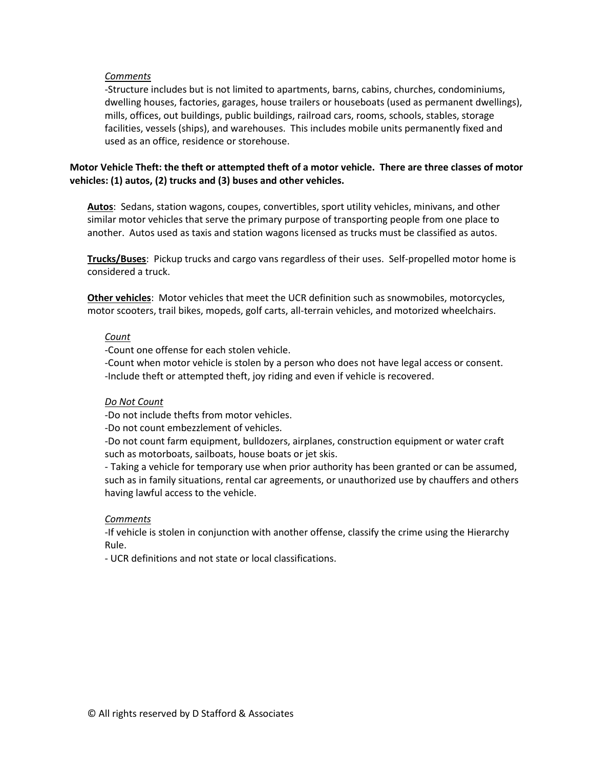#### *Comments*

-Structure includes but is not limited to apartments, barns, cabins, churches, condominiums, dwelling houses, factories, garages, house trailers or houseboats (used as permanent dwellings), mills, offices, out buildings, public buildings, railroad cars, rooms, schools, stables, storage facilities, vessels (ships), and warehouses. This includes mobile units permanently fixed and used as an office, residence or storehouse.

## **Motor Vehicle Theft: the theft or attempted theft of a motor vehicle. There are three classes of motor vehicles: (1) autos, (2) trucks and (3) buses and other vehicles.**

**Autos**: Sedans, station wagons, coupes, convertibles, sport utility vehicles, minivans, and other similar motor vehicles that serve the primary purpose of transporting people from one place to another. Autos used as taxis and station wagons licensed as trucks must be classified as autos.

**Trucks/Buses**: Pickup trucks and cargo vans regardless of their uses. Self-propelled motor home is considered a truck.

**Other vehicles**: Motor vehicles that meet the UCR definition such as snowmobiles, motorcycles, motor scooters, trail bikes, mopeds, golf carts, all-terrain vehicles, and motorized wheelchairs.

#### *Count*

-Count one offense for each stolen vehicle.

-Count when motor vehicle is stolen by a person who does not have legal access or consent. -Include theft or attempted theft, joy riding and even if vehicle is recovered.

#### *Do Not Count*

-Do not include thefts from motor vehicles.

-Do not count embezzlement of vehicles.

-Do not count farm equipment, bulldozers, airplanes, construction equipment or water craft such as motorboats, sailboats, house boats or jet skis.

- Taking a vehicle for temporary use when prior authority has been granted or can be assumed, such as in family situations, rental car agreements, or unauthorized use by chauffers and others having lawful access to the vehicle.

## *Comments*

-If vehicle is stolen in conjunction with another offense, classify the crime using the Hierarchy Rule.

- UCR definitions and not state or local classifications.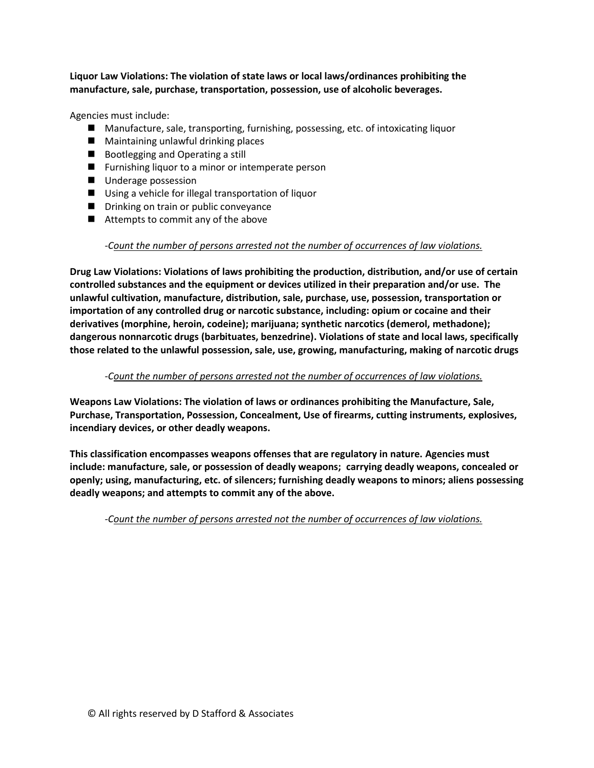**Liquor Law Violations: The violation of state laws or local laws/ordinances prohibiting the manufacture, sale, purchase, transportation, possession, use of alcoholic beverages.**

Agencies must include:

- Manufacture, sale, transporting, furnishing, possessing, etc. of intoxicating liquor
- Maintaining unlawful drinking places
- Bootlegging and Operating a still
- **Furnishing liquor to a minor or intemperate person**
- **Underage possession**
- Using a vehicle for illegal transportation of liquor
- **Drinking on train or public conveyance**
- Attempts to commit any of the above

## *-Count the number of persons arrested not the number of occurrences of law violations.*

**Drug Law Violations: Violations of laws prohibiting the production, distribution, and/or use of certain controlled substances and the equipment or devices utilized in their preparation and/or use. The unlawful cultivation, manufacture, distribution, sale, purchase, use, possession, transportation or importation of any controlled drug or narcotic substance, including: opium or cocaine and their derivatives (morphine, heroin, codeine); marijuana; synthetic narcotics (demerol, methadone); dangerous nonnarcotic drugs (barbituates, benzedrine). Violations of state and local laws, specifically those related to the unlawful possession, sale, use, growing, manufacturing, making of narcotic drugs** 

## *-Count the number of persons arrested not the number of occurrences of law violations.*

**Weapons Law Violations: The violation of laws or ordinances prohibiting the Manufacture, Sale, Purchase, Transportation, Possession, Concealment, Use of firearms, cutting instruments, explosives, incendiary devices, or other deadly weapons.**

**This classification encompasses weapons offenses that are regulatory in nature. Agencies must include: manufacture, sale, or possession of deadly weapons; carrying deadly weapons, concealed or openly; using, manufacturing, etc. of silencers; furnishing deadly weapons to minors; aliens possessing deadly weapons; and attempts to commit any of the above.** 

*-Count the number of persons arrested not the number of occurrences of law violations.*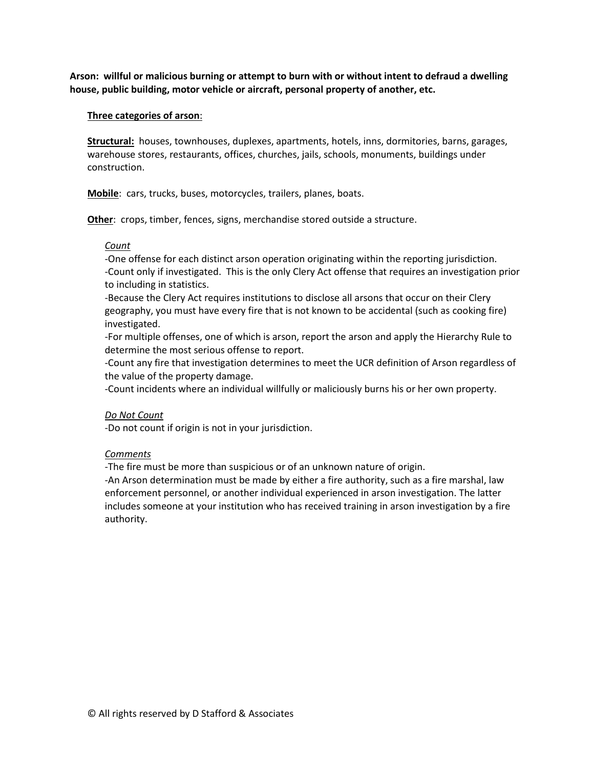**Arson: willful or malicious burning or attempt to burn with or without intent to defraud a dwelling house, public building, motor vehicle or aircraft, personal property of another, etc.** 

#### **Three categories of arson**:

**Structural:** houses, townhouses, duplexes, apartments, hotels, inns, dormitories, barns, garages, warehouse stores, restaurants, offices, churches, jails, schools, monuments, buildings under construction.

**Mobile**: cars, trucks, buses, motorcycles, trailers, planes, boats.

**Other**: crops, timber, fences, signs, merchandise stored outside a structure.

#### *Count*

-One offense for each distinct arson operation originating within the reporting jurisdiction. -Count only if investigated. This is the only Clery Act offense that requires an investigation prior to including in statistics.

-Because the Clery Act requires institutions to disclose all arsons that occur on their Clery geography, you must have every fire that is not known to be accidental (such as cooking fire) investigated.

-For multiple offenses, one of which is arson, report the arson and apply the Hierarchy Rule to determine the most serious offense to report.

-Count any fire that investigation determines to meet the UCR definition of Arson regardless of the value of the property damage.

-Count incidents where an individual willfully or maliciously burns his or her own property.

## *Do Not Count*

-Do not count if origin is not in your jurisdiction.

## *Comments*

-The fire must be more than suspicious or of an unknown nature of origin.

-An Arson determination must be made by either a fire authority, such as a fire marshal, law enforcement personnel, or another individual experienced in arson investigation. The latter includes someone at your institution who has received training in arson investigation by a fire authority.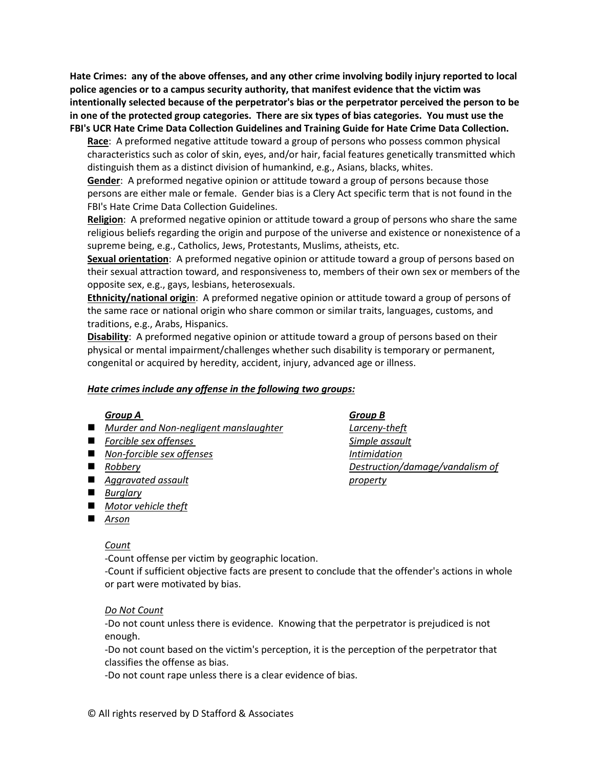**Hate Crimes: any of the above offenses, and any other crime involving bodily injury reported to local police agencies or to a campus security authority, that manifest evidence that the victim was intentionally selected because of the perpetrator's bias or the perpetrator perceived the person to be in one of the protected group categories. There are six types of bias categories. You must use the FBI's UCR Hate Crime Data Collection Guidelines and Training Guide for Hate Crime Data Collection.**

**Race**: A preformed negative attitude toward a group of persons who possess common physical characteristics such as color of skin, eyes, and/or hair, facial features genetically transmitted which distinguish them as a distinct division of humankind, e.g., Asians, blacks, whites.

**Gender**: A preformed negative opinion or attitude toward a group of persons because those persons are either male or female. Gender bias is a Clery Act specific term that is not found in the FBI's Hate Crime Data Collection Guidelines.

**Religion**: A preformed negative opinion or attitude toward a group of persons who share the same religious beliefs regarding the origin and purpose of the universe and existence or nonexistence of a supreme being, e.g., Catholics, Jews, Protestants, Muslims, atheists, etc.

**Sexual orientation**: A preformed negative opinion or attitude toward a group of persons based on their sexual attraction toward, and responsiveness to, members of their own sex or members of the opposite sex, e.g., gays, lesbians, heterosexuals.

**Ethnicity/national origin**: A preformed negative opinion or attitude toward a group of persons of the same race or national origin who share common or similar traits, languages, customs, and traditions, e.g., Arabs, Hispanics.

**Disability**: A preformed negative opinion or attitude toward a group of persons based on their physical or mental impairment/challenges whether such disability is temporary or permanent, congenital or acquired by heredity, accident, injury, advanced age or illness.

## *Hate crimes include any offense in the following two groups:*

## *Group A Group B*

- *Murder and Non-negligent manslaughter Larceny-theft*
- Forcible sex offenses and state of the Simple assault
- *Non-forcible sex offenses Intimidation*
- 
- *Aggravated assault property*
- *Burglary*
- *Motor vehicle theft*
- *Arson*

## *Count*

-Count offense per victim by geographic location.

-Count if sufficient objective facts are present to conclude that the offender's actions in whole or part were motivated by bias.

## *Do Not Count*

-Do not count unless there is evidence. Knowing that the perpetrator is prejudiced is not enough.

-Do not count based on the victim's perception, it is the perception of the perpetrator that classifies the offense as bias.

-Do not count rape unless there is a clear evidence of bias.

*Robbery Destruction/damage/vandalism of*